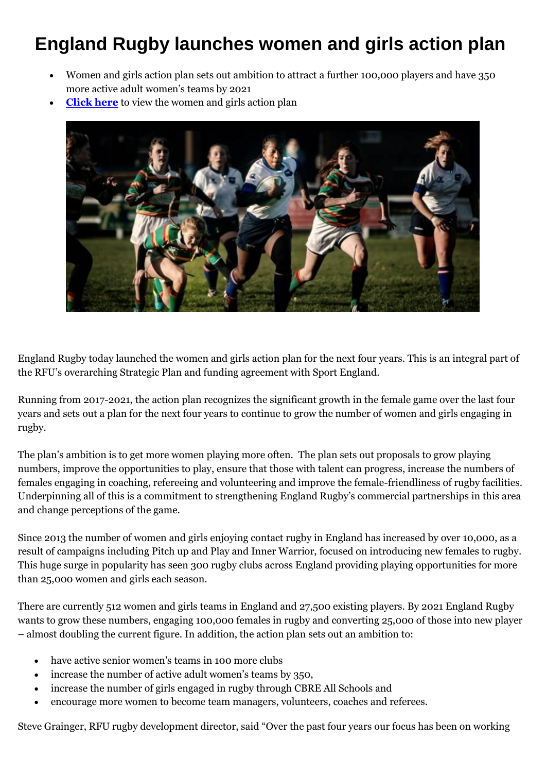## **England Rugby launches women and girls action plan**

- Women and girls action plan sets out ambition to attract a further 100,000 players and have 350 more active adult women's teams by 2021
- **[Click here](http://www.englandrugby.com/mm/document/general/home/01/32/69/55/Womenandgirlsactionplan_FINAL_Neutral.pdf)** to view the women and girls action plan



England Rugby today launched the women and girls action plan for the next four years. This is an integral part of the RFU's overarching Strategic Plan and funding agreement with Sport England.

Running from 2017-2021, the action plan recognizes the significant growth in the female game over the last four years and sets out a plan for the next four years to continue to grow the number of women and girls engaging in rugby.

The plan's ambition is to get more women playing more often. The plan sets out proposals to grow playing numbers, improve the opportunities to play, ensure that those with talent can progress, increase the numbers of females engaging in coaching, refereeing and volunteering and improve the female-friendliness of rugby facilities. Underpinning all of this is a commitment to strengthening England Rugby's commercial partnerships in this area and change perceptions of the game.

Since 2013 the number of women and girls enjoying contact rugby in England has increased by over 10,000, as a result of campaigns including Pitch up and Play and Inner Warrior, focused on introducing new females to rugby. This huge surge in popularity has seen 300 rugby clubs across England providing playing opportunities for more than 25,000 women and girls each season.

There are currently 512 women and girls teams in England and 27,500 existing players. By 2021 England Rugby wants to grow these numbers, engaging 100,000 females in rugby and converting 25,000 of those into new player – almost doubling the current figure. In addition, the action plan sets out an ambition to:

- have active senior women's teams in 100 more clubs
- increase the number of active adult women's teams by 350,
- increase the number of girls engaged in rugby through CBRE All Schools and
- encourage more women to become team managers, volunteers, coaches and referees.

Steve Grainger, RFU rugby development director, said "Over the past four years our focus has been on working